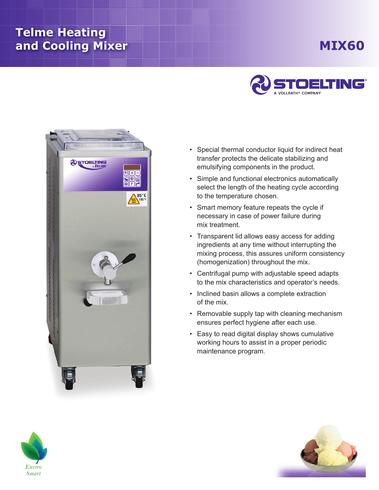## **Telme Heating and Cooling Mixer**

## **Mix60**





- Special thermal conductor liquid for indirect heat transfer protects the delicate stabilizing and emulsifying components in the product.
- Simple and functional electronics automatically select the length of the heating cycle according to the temperature chosen.
- Smart memory feature repeats the cycle if necessary in case of power failure during mix treatment.
- Transparent lid allows easy access for adding ingredients at any time without interrupting the mixing process, this assures uniform consistency (homogenization) throughout the mix.
- Centrifugal pump with adjustable speed adapts to the mix characteristics and operator's needs.
- Inclined basin allows a complete extraction of the mix.
- Removable supply tap with cleaning mechanism ensures perfect hygiene after each use.
- Easy to read digital display shows cumulative working hours to assist in a proper periodic maintenance program.